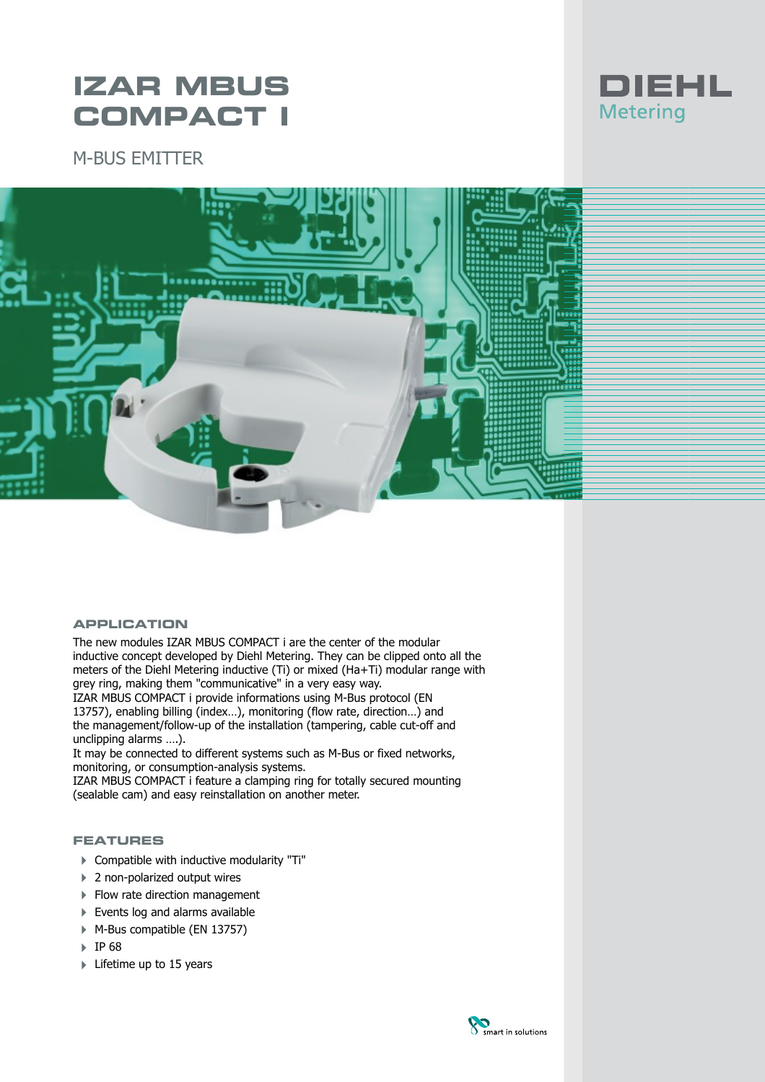# **IZAR MBUS COMPACT I**

M-BUS EMITTER



#### **APPLICATION**

The new modules IZAR MBUS COMPACT i are the center of the modular inductive concept developed by Diehl Metering. They can be clipped onto all the meters of the Diehl Metering inductive (Ti) or mixed (Ha+Ti) modular range with grey ring, making them "communicative" in a very easy way.

IZAR MBUS COMPACT i provide informations using M-Bus protocol (EN 13757), enabling billing (index…), monitoring (flow rate, direction…) and the management/follow-up of the installation (tampering, cable cut-off and unclipping alarms ….).

It may be connected to different systems such as M-Bus or fixed networks, monitoring, or consumption-analysis systems.

IZAR MBUS COMPACT i feature a clamping ring for totally secured mounting (sealable cam) and easy reinstallation on another meter.

#### **FEATURES**

- 4 Compatible with inductive modularity "Ti"
- ▶ 2 non-polarized output wires
- ▶ Flow rate direction management
- Events log and alarms available
- ▶ M-Bus compatible (EN 13757)
- 4 IP 68
- $\blacktriangleright$  Lifetime up to 15 years